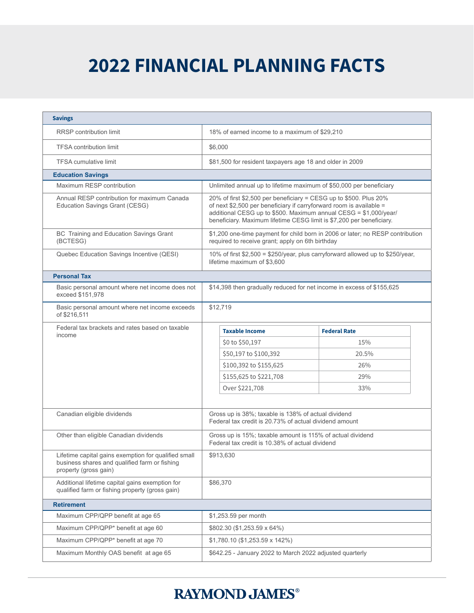## **2022 FINANCIAL PLANNING FACTS**

| <b>Savings</b>                                                                                                                 |                                                                                                                                                                                                                                                                                      |                                                                                                               |                     |  |
|--------------------------------------------------------------------------------------------------------------------------------|--------------------------------------------------------------------------------------------------------------------------------------------------------------------------------------------------------------------------------------------------------------------------------------|---------------------------------------------------------------------------------------------------------------|---------------------|--|
| <b>RRSP</b> contribution limit                                                                                                 | 18% of earned income to a maximum of \$29,210                                                                                                                                                                                                                                        |                                                                                                               |                     |  |
| <b>TFSA contribution limit</b>                                                                                                 | \$6,000                                                                                                                                                                                                                                                                              |                                                                                                               |                     |  |
| <b>TFSA cumulative limit</b>                                                                                                   | \$81,500 for resident taxpayers age 18 and older in 2009                                                                                                                                                                                                                             |                                                                                                               |                     |  |
| <b>Education Savings</b>                                                                                                       |                                                                                                                                                                                                                                                                                      |                                                                                                               |                     |  |
| Maximum RESP contribution                                                                                                      | Unlimited annual up to lifetime maximum of \$50,000 per beneficiary                                                                                                                                                                                                                  |                                                                                                               |                     |  |
| Annual RESP contribution for maximum Canada<br>Education Savings Grant (CESG)                                                  | 20% of first \$2,500 per beneficiary = CESG up to \$500. Plus 20%<br>of next \$2,500 per beneficiary if carryforward room is available =<br>additional CESG up to \$500. Maximum annual CESG = \$1,000/year/<br>beneficiary. Maximum lifetime CESG limit is \$7,200 per beneficiary. |                                                                                                               |                     |  |
| BC Training and Education Savings Grant<br>(BCTESG)                                                                            | \$1,200 one-time payment for child born in 2006 or later; no RESP contribution<br>required to receive grant; apply on 6th birthday                                                                                                                                                   |                                                                                                               |                     |  |
| Quebec Education Savings Incentive (QESI)                                                                                      |                                                                                                                                                                                                                                                                                      | 10% of first \$2,500 = \$250/year, plus carryforward allowed up to \$250/year,<br>lifetime maximum of \$3,600 |                     |  |
| <b>Personal Tax</b>                                                                                                            |                                                                                                                                                                                                                                                                                      |                                                                                                               |                     |  |
| Basic personal amount where net income does not<br>exceed \$151,978                                                            |                                                                                                                                                                                                                                                                                      | \$14,398 then gradually reduced for net income in excess of \$155,625                                         |                     |  |
| Basic personal amount where net income exceeds<br>of \$216,511                                                                 |                                                                                                                                                                                                                                                                                      | \$12,719                                                                                                      |                     |  |
| Federal tax brackets and rates based on taxable<br>income                                                                      |                                                                                                                                                                                                                                                                                      | <b>Taxable Income</b>                                                                                         | <b>Federal Rate</b> |  |
|                                                                                                                                |                                                                                                                                                                                                                                                                                      | \$0 to \$50,197                                                                                               | 15%                 |  |
|                                                                                                                                |                                                                                                                                                                                                                                                                                      | \$50,197 to \$100,392                                                                                         | 20.5%               |  |
|                                                                                                                                |                                                                                                                                                                                                                                                                                      | \$100,392 to \$155,625                                                                                        | 26%                 |  |
|                                                                                                                                |                                                                                                                                                                                                                                                                                      | \$155,625 to \$221,708                                                                                        | 29%                 |  |
|                                                                                                                                |                                                                                                                                                                                                                                                                                      | Over \$221,708                                                                                                | 33%                 |  |
|                                                                                                                                |                                                                                                                                                                                                                                                                                      |                                                                                                               |                     |  |
| Canadian eligible dividends                                                                                                    |                                                                                                                                                                                                                                                                                      | Gross up is 38%; taxable is 138% of actual dividend<br>Federal tax credit is 20.73% of actual dividend amount |                     |  |
| Other than eligible Canadian dividends                                                                                         |                                                                                                                                                                                                                                                                                      | Gross up is 15%; taxable amount is 115% of actual dividend<br>Federal tax credit is 10.38% of actual dividend |                     |  |
| Lifetime capital gains exemption for qualified small<br>business shares and qualified farm or fishing<br>property (gross gain) |                                                                                                                                                                                                                                                                                      | \$913.630                                                                                                     |                     |  |
| Additional lifetime capital gains exemption for<br>qualified farm or fishing property (gross gain)                             |                                                                                                                                                                                                                                                                                      | \$86,370                                                                                                      |                     |  |
| <b>Retirement</b>                                                                                                              |                                                                                                                                                                                                                                                                                      |                                                                                                               |                     |  |
| Maximum CPP/QPP benefit at age 65                                                                                              |                                                                                                                                                                                                                                                                                      | \$1,253.59 per month                                                                                          |                     |  |
| Maximum CPP/QPP* benefit at age 60                                                                                             |                                                                                                                                                                                                                                                                                      | \$802.30 (\$1,253.59 x 64%)                                                                                   |                     |  |
| Maximum CPP/QPP* benefit at age 70                                                                                             | \$1,780.10 (\$1,253.59 x 142%)                                                                                                                                                                                                                                                       |                                                                                                               |                     |  |
| Maximum Monthly OAS benefit at age 65                                                                                          |                                                                                                                                                                                                                                                                                      | \$642.25 - January 2022 to March 2022 adjusted quarterly                                                      |                     |  |

## **RAYMOND JAMES®**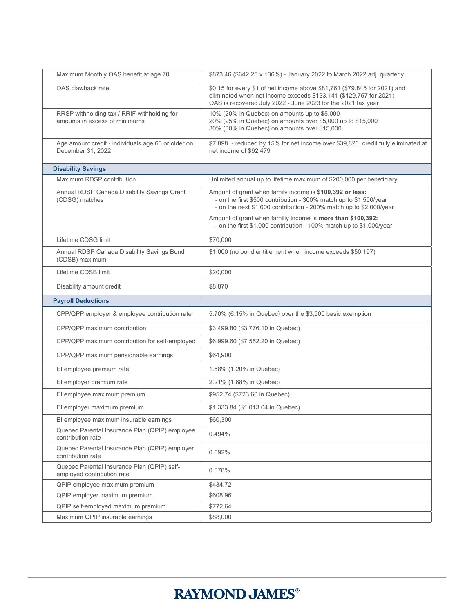| Maximum Monthly OAS benefit at age 70                                        | \$873.46 (\$642.25 x 136%) - January 2022 to March 2022 adj. quarterly                                                                                                                                         |  |  |  |
|------------------------------------------------------------------------------|----------------------------------------------------------------------------------------------------------------------------------------------------------------------------------------------------------------|--|--|--|
| OAS clawback rate                                                            | \$0.15 for every \$1 of net income above \$81,761 (\$79,845 for 2021) and<br>eliminated when net income exceeds \$133,141 (\$129,757 for 2021)<br>OAS is recovered July 2022 - June 2023 for the 2021 tax year |  |  |  |
| RRSP withholding tax / RRIF withholding for<br>amounts in excess of minimums | 10% (20% in Quebec) on amounts up to \$5,000<br>20% (25% in Quebec) on amounts over \$5,000 up to \$15,000<br>30% (30% in Quebec) on amounts over \$15,000                                                     |  |  |  |
| Age amount credit - individuals age 65 or older on<br>December 31, 2022      | \$7,898 - reduced by 15% for net income over \$39,826, credit fully eliminated at<br>net income of \$92,479                                                                                                    |  |  |  |
| <b>Disability Savings</b>                                                    |                                                                                                                                                                                                                |  |  |  |
| Maximum RDSP contribution                                                    | Unlimited annual up to lifetime maximum of \$200,000 per beneficiary                                                                                                                                           |  |  |  |
| Annual RDSP Canada Disability Savings Grant<br>(CDSG) matches                | Amount of grant when family income is \$100,392 or less:<br>- on the first \$500 contribution - 300% match up to \$1,500/year<br>- on the next \$1,000 contribution - 200% match up to \$2,000/year            |  |  |  |
|                                                                              | Amount of grant when familiy income is more than \$100,392:<br>- on the first \$1,000 contribution - 100% match up to \$1,000/year                                                                             |  |  |  |
| Lifetime CDSG limit                                                          | \$70,000                                                                                                                                                                                                       |  |  |  |
| Annual RDSP Canada Disability Savings Bond<br>(CDSB) maximum                 | \$1,000 (no bond entitlement when income exceeds \$50,197)                                                                                                                                                     |  |  |  |
| Lifetime CDSB limit                                                          | \$20,000                                                                                                                                                                                                       |  |  |  |
| Disability amount credit                                                     | \$8,870                                                                                                                                                                                                        |  |  |  |
| <b>Payroll Deductions</b>                                                    |                                                                                                                                                                                                                |  |  |  |
| CPP/QPP employer & employee contribution rate                                | 5.70% (6.15% in Quebec) over the \$3,500 basic exemption                                                                                                                                                       |  |  |  |
| CPP/QPP maximum contribution                                                 |                                                                                                                                                                                                                |  |  |  |
|                                                                              | \$3,499.80 (\$3,776.10 in Quebec)                                                                                                                                                                              |  |  |  |
| CPP/QPP maximum contribution for self-employed                               | \$6,999.60 (\$7,552.20 in Quebec)                                                                                                                                                                              |  |  |  |
| CPP/QPP maximum pensionable earnings                                         | \$64,900                                                                                                                                                                                                       |  |  |  |
| El employee premium rate                                                     | 1.58% (1.20% in Quebec)                                                                                                                                                                                        |  |  |  |
| El employer premium rate                                                     | 2.21% (1.68% in Quebec)                                                                                                                                                                                        |  |  |  |
| El employee maximum premium                                                  | \$952.74 (\$723.60 in Quebec)                                                                                                                                                                                  |  |  |  |
| El employer maximum premium                                                  | \$1,333.84 (\$1,013.04 in Quebec)                                                                                                                                                                              |  |  |  |
| El employee maximum insurable earnings                                       | \$60,300                                                                                                                                                                                                       |  |  |  |
| Quebec Parental Insurance Plan (QPIP) employee<br>contribution rate          | 0.494%                                                                                                                                                                                                         |  |  |  |
| Quebec Parental Insurance Plan (QPIP) employer<br>contribution rate          | 0.692%                                                                                                                                                                                                         |  |  |  |
| Quebec Parental Insurance Plan (QPIP) self-<br>employed contribution rate    | 0.878%                                                                                                                                                                                                         |  |  |  |
| QPIP employee maximum premium                                                | \$434.72                                                                                                                                                                                                       |  |  |  |
| QPIP employer maximum premium                                                | \$608.96                                                                                                                                                                                                       |  |  |  |
| QPIP self-employed maximum premium<br>Maximum QPIP insurable earnings        | \$772.64<br>\$88,000                                                                                                                                                                                           |  |  |  |

## **RAYMOND JAMES®**